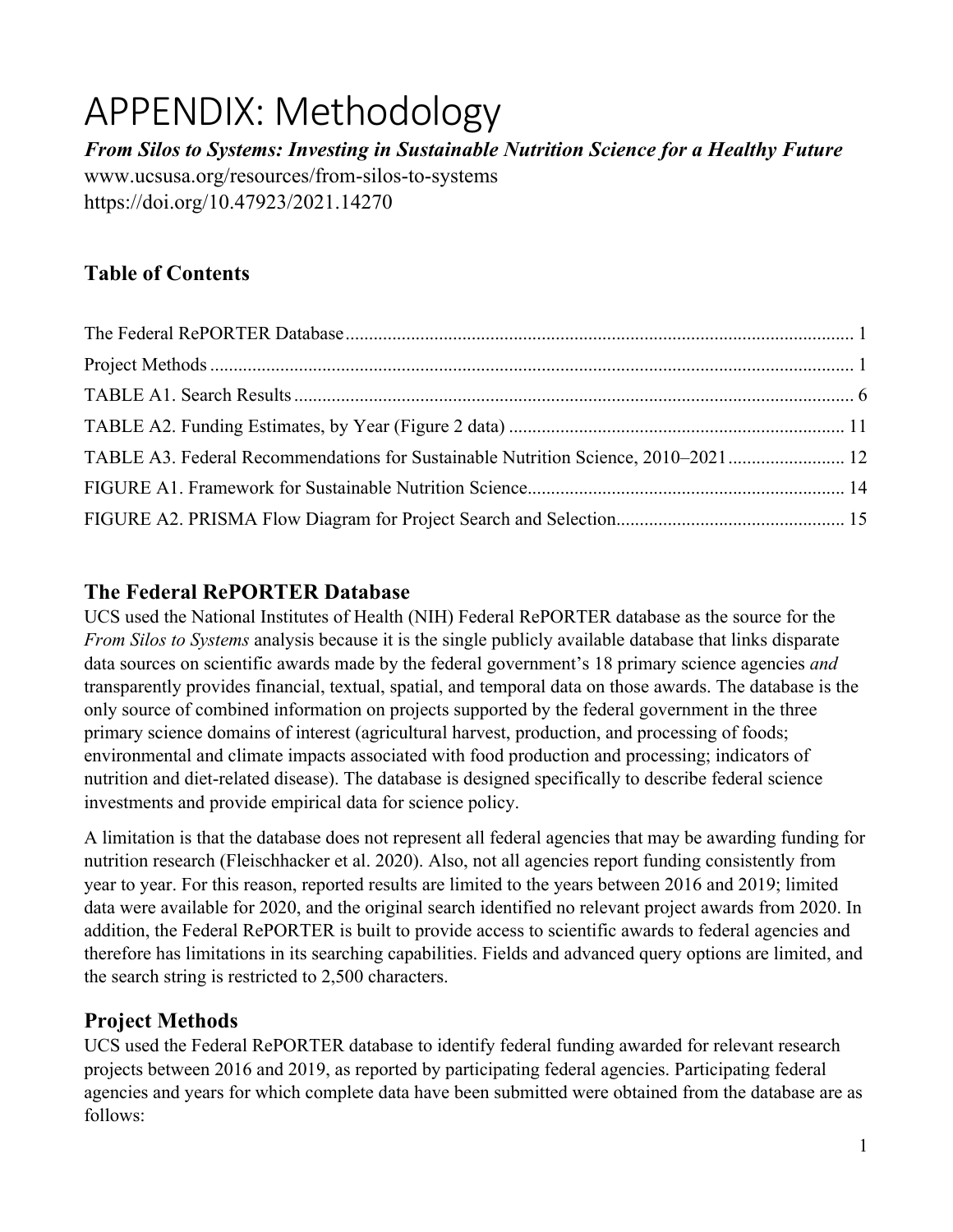# APPENDIX: Methodology

*From Silos to Systems: Investing in Sustainable Nutrition Science for a Healthy Future* www.ucsusa.org/resources/from-silos-to-systems https://doi.org/10.47923/2021.14270

# **Table of Contents**

| TABLE A3. Federal Recommendations for Sustainable Nutrition Science, 2010–2021 |  |
|--------------------------------------------------------------------------------|--|
|                                                                                |  |
|                                                                                |  |

## **The Federal RePORTER Database**

UCS used the National Institutes of Health (NIH) Federal RePORTER database as the source for the *From Silos to Systems* analysis because it is the single publicly available database that links disparate data sources on scientific awards made by the federal government's 18 primary science agencies *and* transparently provides financial, textual, spatial, and temporal data on those awards. The database is the only source of combined information on projects supported by the federal government in the three primary science domains of interest (agricultural harvest, production, and processing of foods; environmental and climate impacts associated with food production and processing; indicators of nutrition and diet-related disease). The database is designed specifically to describe federal science investments and provide empirical data for science policy.

A limitation is that the database does not represent all federal agencies that may be awarding funding for nutrition research (Fleischhacker et al. 2020). Also, not all agencies report funding consistently from year to year. For this reason, reported results are limited to the years between 2016 and 2019; limited data were available for 2020, and the original search identified no relevant project awards from 2020. In addition, the Federal RePORTER is built to provide access to scientific awards to federal agencies and therefore has limitations in its searching capabilities. Fields and advanced query options are limited, and the search string is restricted to 2,500 characters.

# **Project Methods**

UCS used the Federal RePORTER database to identify federal funding awarded for relevant research projects between 2016 and 2019, as reported by participating federal agencies. Participating federal agencies and years for which complete data have been submitted were obtained from the database are as follows: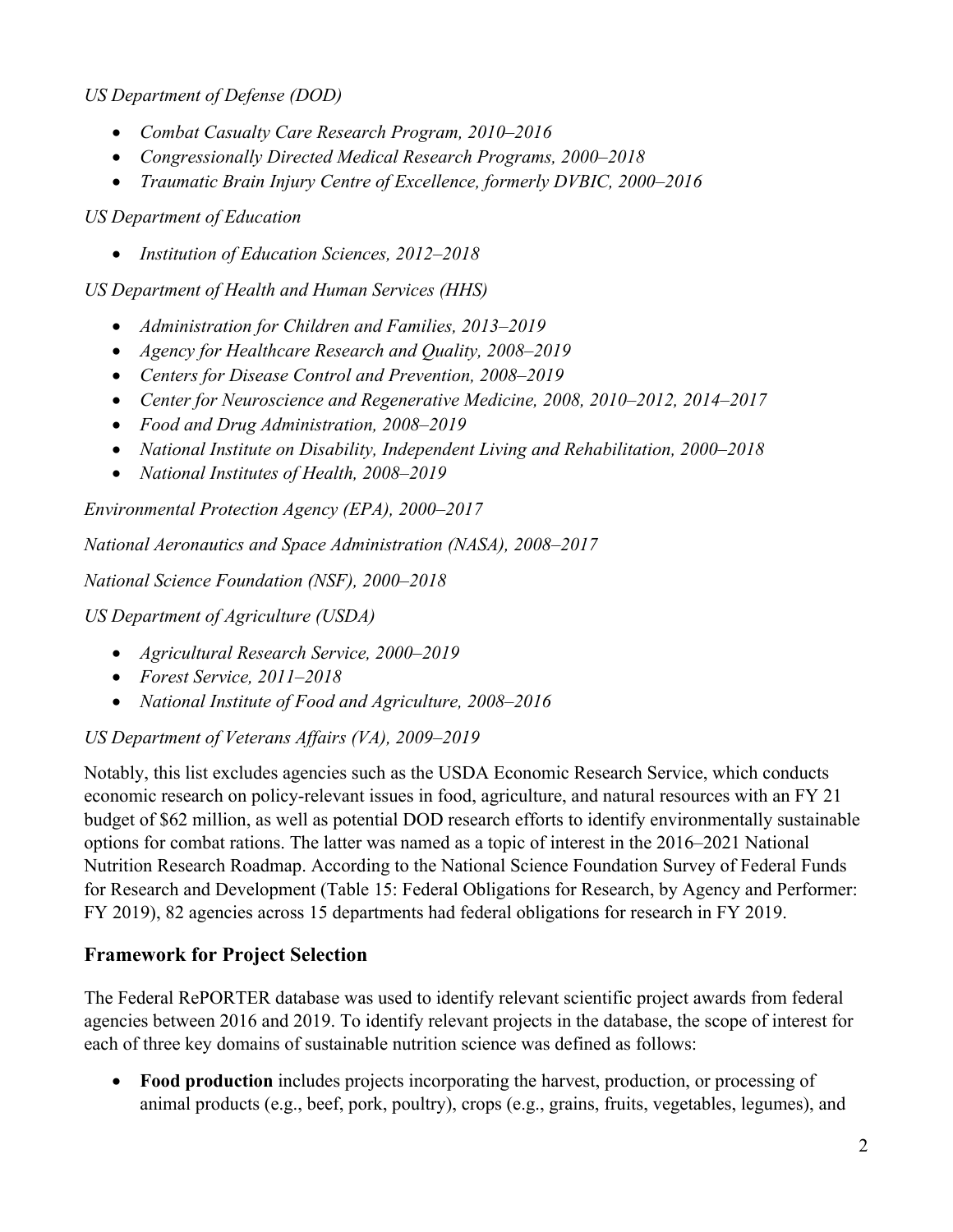*US Department of Defense (DOD)*

- *Combat Casualty Care Research Program, 2010–2016*
- *Congressionally Directed Medical Research Programs, 2000–2018*
- *Traumatic Brain Injury Centre of Excellence, formerly DVBIC, 2000–2016*

*US Department of Education* 

• *Institution of Education Sciences, 2012–2018*

*US Department of Health and Human Services (HHS)*

- *Administration for Children and Families, 2013–2019*
- *Agency for Healthcare Research and Quality, 2008–2019*
- *Centers for Disease Control and Prevention, 2008–2019*
- *Center for Neuroscience and Regenerative Medicine, 2008, 2010–2012, 2014–2017*
- *Food and Drug Administration, 2008–2019*
- *National Institute on Disability, Independent Living and Rehabilitation, 2000–2018*
- *National Institutes of Health, 2008–2019*

*Environmental Protection Agency (EPA), 2000–2017*

*National Aeronautics and Space Administration (NASA), 2008–2017*

*National Science Foundation (NSF), 2000–2018*

*US Department of Agriculture (USDA)*

- *Agricultural Research Service, 2000–2019*
- *Forest Service, 2011–2018*
- *National Institute of Food and Agriculture, 2008–2016*

*US Department of Veterans Affairs (VA), 2009–2019*

Notably, this list excludes agencies such as the USDA Economic Research Service, which conducts economic research on policy-relevant issues in food, agriculture, and natural resources with an FY 21 budget of \$62 million, as well as potential DOD research efforts to identify environmentally sustainable options for combat rations. The latter was named as a topic of interest in the 2016–2021 National Nutrition Research Roadmap. According to the National Science Foundation Survey of Federal Funds for Research and Development (Table 15: Federal Obligations for Research, by Agency and Performer: FY 2019), 82 agencies across 15 departments had federal obligations for research in FY 2019.

### **Framework for Project Selection**

The Federal RePORTER database was used to identify relevant scientific project awards from federal agencies between 2016 and 2019. To identify relevant projects in the database, the scope of interest for each of three key domains of sustainable nutrition science was defined as follows:

• **Food production** includes projects incorporating the harvest, production, or processing of animal products (e.g., beef, pork, poultry), crops (e.g., grains, fruits, vegetables, legumes), and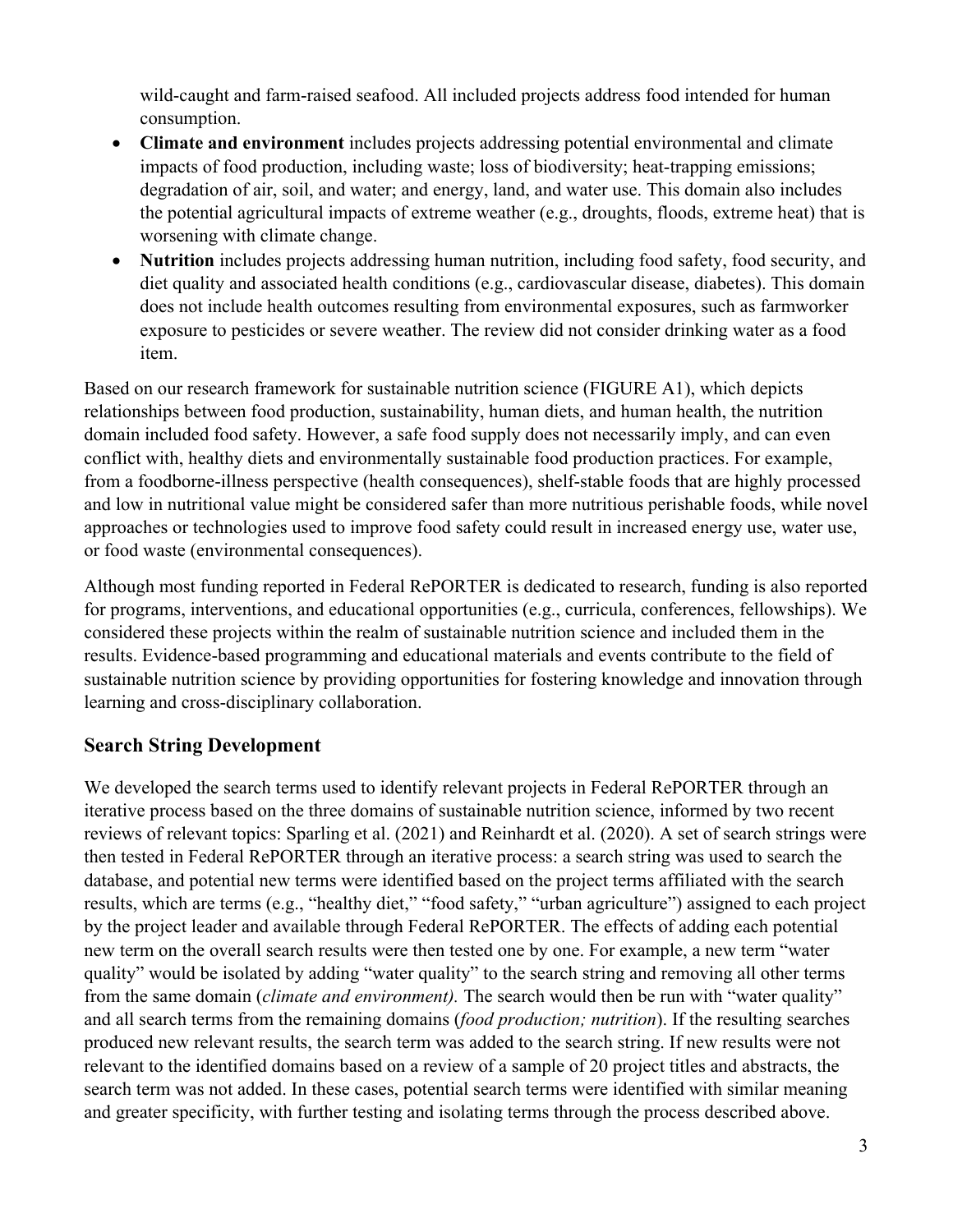wild-caught and farm-raised seafood. All included projects address food intended for human consumption.

- **Climate and environment** includes projects addressing potential environmental and climate impacts of food production, including waste; loss of biodiversity; heat-trapping emissions; degradation of air, soil, and water; and energy, land, and water use. This domain also includes the potential agricultural impacts of extreme weather (e.g., droughts, floods, extreme heat) that is worsening with climate change.
- **Nutrition** includes projects addressing human nutrition, including food safety, food security, and diet quality and associated health conditions (e.g., cardiovascular disease, diabetes). This domain does not include health outcomes resulting from environmental exposures, such as farmworker exposure to pesticides or severe weather. The review did not consider drinking water as a food item.

Based on our research framework for sustainable nutrition science (FIGURE A1), which depicts relationships between food production, sustainability, human diets, and human health, the nutrition domain included food safety. However, a safe food supply does not necessarily imply, and can even conflict with, healthy diets and environmentally sustainable food production practices. For example, from a foodborne-illness perspective (health consequences), shelf-stable foods that are highly processed and low in nutritional value might be considered safer than more nutritious perishable foods, while novel approaches or technologies used to improve food safety could result in increased energy use, water use, or food waste (environmental consequences).

Although most funding reported in Federal RePORTER is dedicated to research, funding is also reported for programs, interventions, and educational opportunities (e.g., curricula, conferences, fellowships). We considered these projects within the realm of sustainable nutrition science and included them in the results. Evidence-based programming and educational materials and events contribute to the field of sustainable nutrition science by providing opportunities for fostering knowledge and innovation through learning and cross-disciplinary collaboration.

### **Search String Development**

We developed the search terms used to identify relevant projects in Federal RePORTER through an iterative process based on the three domains of sustainable nutrition science, informed by two recent reviews of relevant topics: Sparling et al. (2021) and Reinhardt et al. (2020). A set of search strings were then tested in Federal RePORTER through an iterative process: a search string was used to search the database, and potential new terms were identified based on the project terms affiliated with the search results, which are terms (e.g., "healthy diet," "food safety," "urban agriculture") assigned to each project by the project leader and available through Federal RePORTER. The effects of adding each potential new term on the overall search results were then tested one by one. For example, a new term "water quality" would be isolated by adding "water quality" to the search string and removing all other terms from the same domain (*climate and environment).* The search would then be run with "water quality" and all search terms from the remaining domains (*food production; nutrition*). If the resulting searches produced new relevant results, the search term was added to the search string. If new results were not relevant to the identified domains based on a review of a sample of 20 project titles and abstracts, the search term was not added. In these cases, potential search terms were identified with similar meaning and greater specificity, with further testing and isolating terms through the process described above.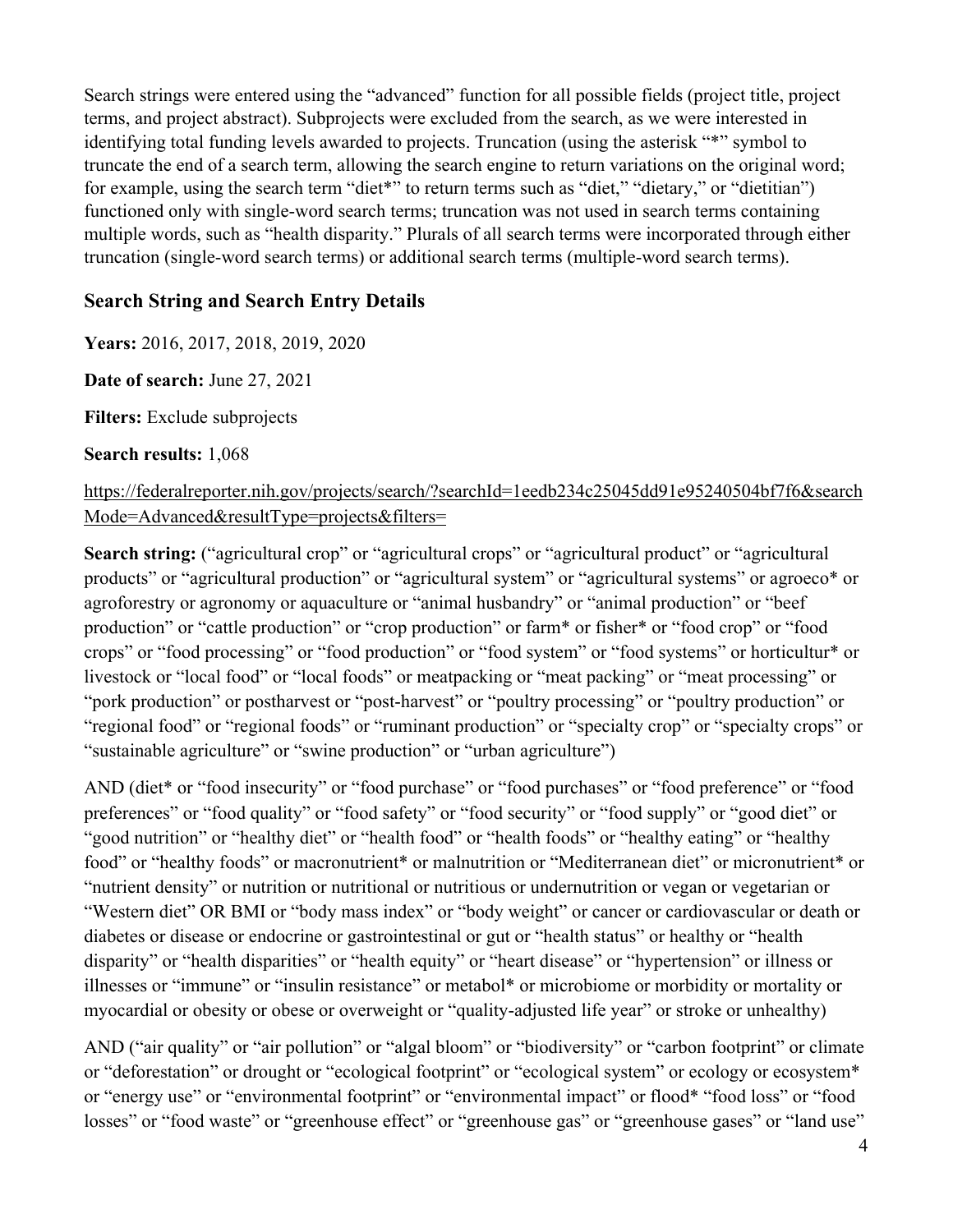Search strings were entered using the "advanced" function for all possible fields (project title, project terms, and project abstract). Subprojects were excluded from the search, as we were interested in identifying total funding levels awarded to projects. Truncation (using the asterisk "\*" symbol to truncate the end of a search term, allowing the search engine to return variations on the original word; for example, using the search term "diet\*" to return terms such as "diet," "dietary," or "dietitian") functioned only with single-word search terms; truncation was not used in search terms containing multiple words, such as "health disparity." Plurals of all search terms were incorporated through either truncation (single-word search terms) or additional search terms (multiple-word search terms).

#### **Search String and Search Entry Details**

**Years:** 2016, 2017, 2018, 2019, 2020

**Date of search:** June 27, 2021

**Filters:** Exclude subprojects

#### **Search results:** 1,068

#### https://federalreporter.nih.gov/projects/search/?searchId=1eedb234c25045dd91e95240504bf7f6&search Mode=Advanced&resultType=projects&filters=

**Search string:** ("agricultural crop" or "agricultural crops" or "agricultural product" or "agricultural products" or "agricultural production" or "agricultural system" or "agricultural systems" or agroeco\* or agroforestry or agronomy or aquaculture or "animal husbandry" or "animal production" or "beef production" or "cattle production" or "crop production" or farm\* or fisher\* or "food crop" or "food crops" or "food processing" or "food production" or "food system" or "food systems" or horticultur\* or livestock or "local food" or "local foods" or meatpacking or "meat packing" or "meat processing" or "pork production" or postharvest or "post-harvest" or "poultry processing" or "poultry production" or "regional food" or "regional foods" or "ruminant production" or "specialty crop" or "specialty crops" or "sustainable agriculture" or "swine production" or "urban agriculture")

AND (diet\* or "food insecurity" or "food purchase" or "food purchases" or "food preference" or "food preferences" or "food quality" or "food safety" or "food security" or "food supply" or "good diet" or "good nutrition" or "healthy diet" or "health food" or "health foods" or "healthy eating" or "healthy food" or "healthy foods" or macronutrient\* or malnutrition or "Mediterranean diet" or micronutrient\* or "nutrient density" or nutrition or nutritional or nutritious or undernutrition or vegan or vegetarian or "Western diet" OR BMI or "body mass index" or "body weight" or cancer or cardiovascular or death or diabetes or disease or endocrine or gastrointestinal or gut or "health status" or healthy or "health disparity" or "health disparities" or "health equity" or "heart disease" or "hypertension" or illness or illnesses or "immune" or "insulin resistance" or metabol\* or microbiome or morbidity or mortality or myocardial or obesity or obese or overweight or "quality-adjusted life year" or stroke or unhealthy)

AND ("air quality" or "air pollution" or "algal bloom" or "biodiversity" or "carbon footprint" or climate or "deforestation" or drought or "ecological footprint" or "ecological system" or ecology or ecosystem\* or "energy use" or "environmental footprint" or "environmental impact" or flood\* "food loss" or "food losses" or "food waste" or "greenhouse effect" or "greenhouse gas" or "greenhouse gases" or "land use"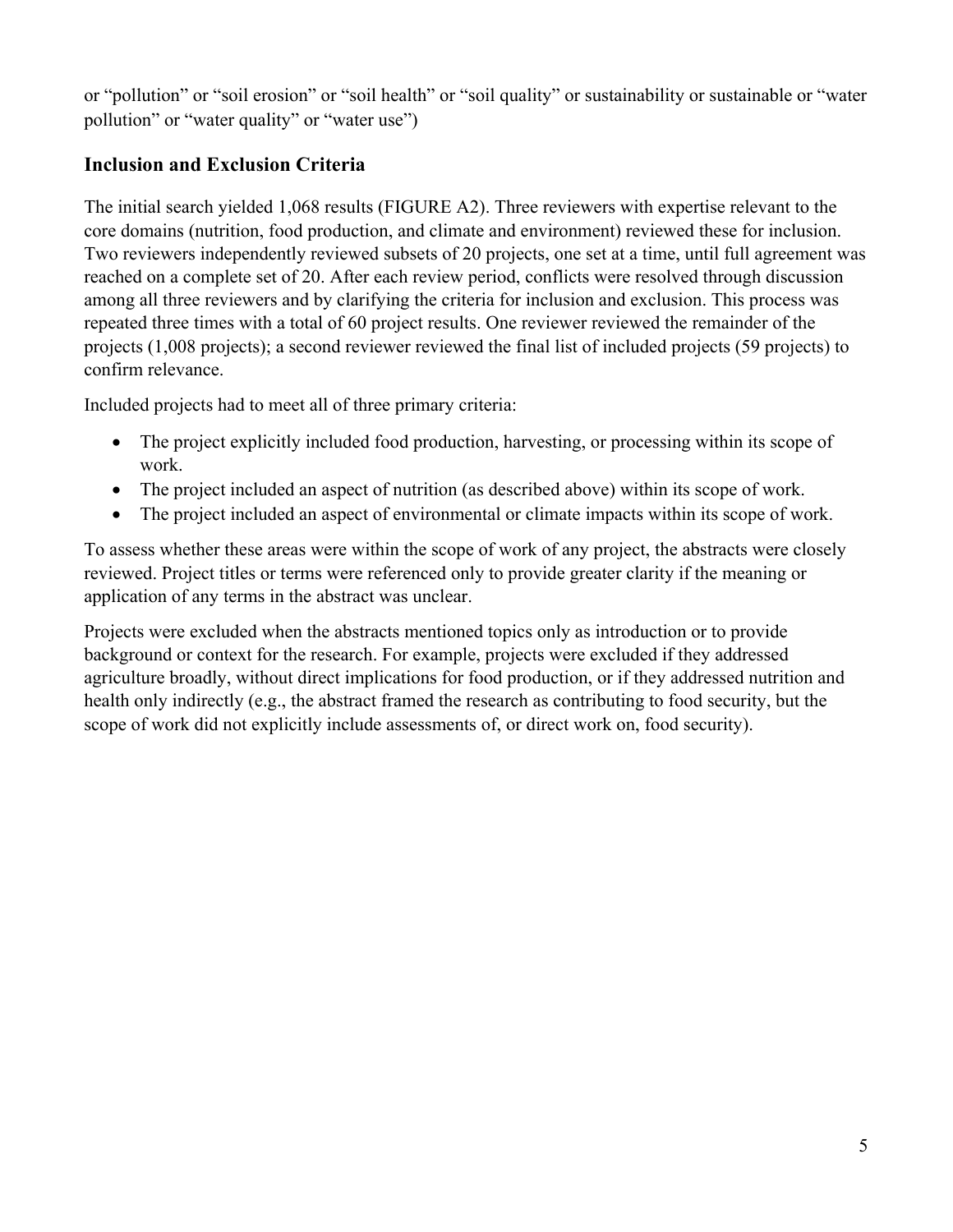or "pollution" or "soil erosion" or "soil health" or "soil quality" or sustainability or sustainable or "water pollution" or "water quality" or "water use")

## **Inclusion and Exclusion Criteria**

The initial search yielded 1,068 results (FIGURE A2). Three reviewers with expertise relevant to the core domains (nutrition, food production, and climate and environment) reviewed these for inclusion. Two reviewers independently reviewed subsets of 20 projects, one set at a time, until full agreement was reached on a complete set of 20. After each review period, conflicts were resolved through discussion among all three reviewers and by clarifying the criteria for inclusion and exclusion. This process was repeated three times with a total of 60 project results. One reviewer reviewed the remainder of the projects (1,008 projects); a second reviewer reviewed the final list of included projects (59 projects) to confirm relevance.

Included projects had to meet all of three primary criteria:

- The project explicitly included food production, harvesting, or processing within its scope of work.
- The project included an aspect of nutrition (as described above) within its scope of work.
- The project included an aspect of environmental or climate impacts within its scope of work.

To assess whether these areas were within the scope of work of any project, the abstracts were closely reviewed. Project titles or terms were referenced only to provide greater clarity if the meaning or application of any terms in the abstract was unclear.

Projects were excluded when the abstracts mentioned topics only as introduction or to provide background or context for the research. For example, projects were excluded if they addressed agriculture broadly, without direct implications for food production, or if they addressed nutrition and health only indirectly (e.g., the abstract framed the research as contributing to food security, but the scope of work did not explicitly include assessments of, or direct work on, food security).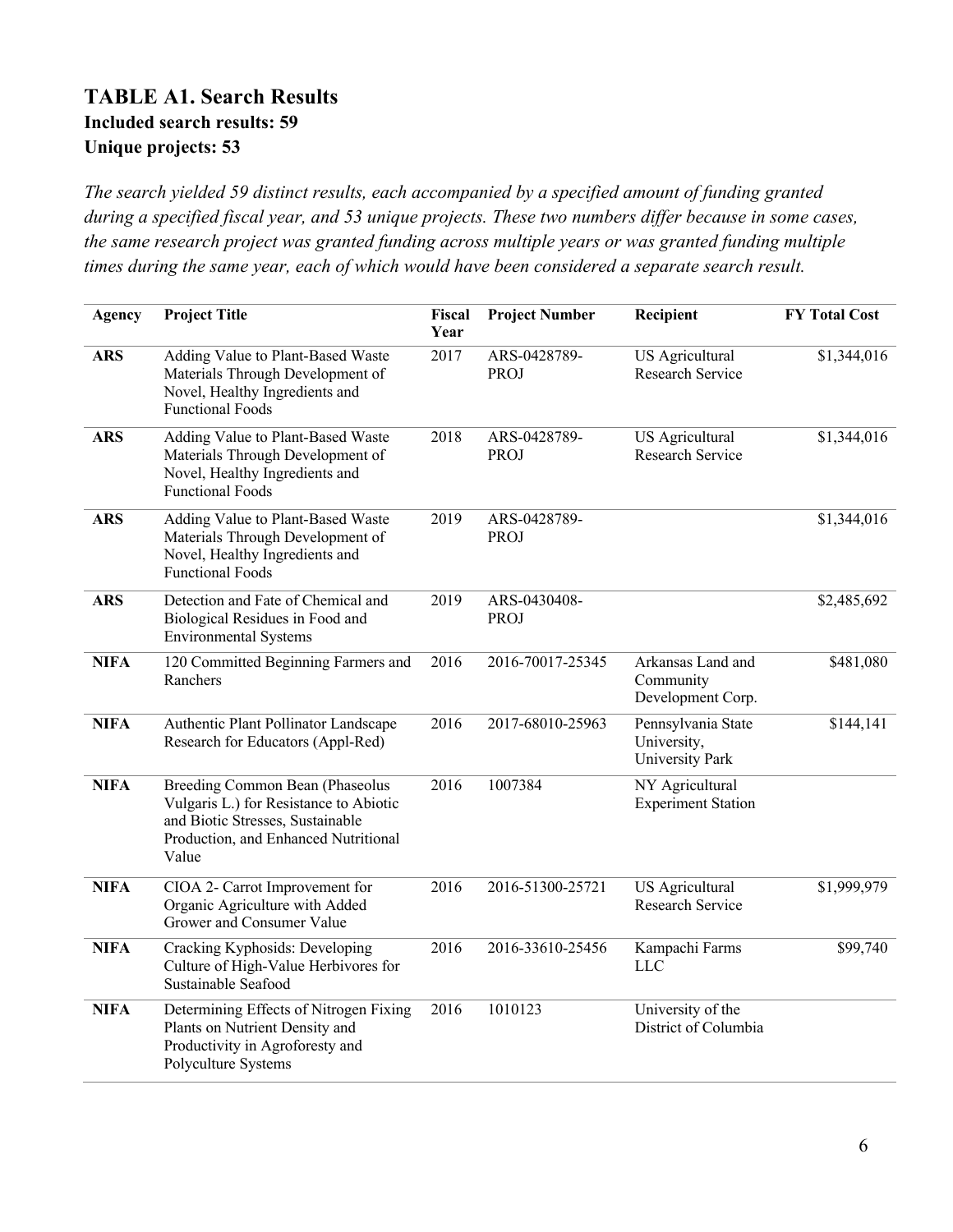### **TABLE A1. Search Results Included search results: 59 Unique projects: 53**

*The search yielded 59 distinct results, each accompanied by a specified amount of funding granted during a specified fiscal year, and 53 unique projects. These two numbers differ because in some cases, the same research project was granted funding across multiple years or was granted funding multiple times during the same year, each of which would have been considered a separate search result.*

| <b>Agency</b> | <b>Project Title</b>                                                                                                                                           | Fiscal<br>Year | <b>Project Number</b>       | Recipient                                            | <b>FY Total Cost</b> |
|---------------|----------------------------------------------------------------------------------------------------------------------------------------------------------------|----------------|-----------------------------|------------------------------------------------------|----------------------|
| <b>ARS</b>    | Adding Value to Plant-Based Waste<br>Materials Through Development of<br>Novel, Healthy Ingredients and<br><b>Functional Foods</b>                             | 2017           | ARS-0428789-<br><b>PROJ</b> | US Agricultural<br>Research Service                  | \$1,344,016          |
| <b>ARS</b>    | Adding Value to Plant-Based Waste<br>Materials Through Development of<br>Novel, Healthy Ingredients and<br><b>Functional Foods</b>                             | 2018           | ARS-0428789-<br>PROJ        | US Agricultural<br>Research Service                  | \$1,344,016          |
| <b>ARS</b>    | Adding Value to Plant-Based Waste<br>Materials Through Development of<br>Novel, Healthy Ingredients and<br><b>Functional Foods</b>                             | 2019           | ARS-0428789-<br>PROJ        |                                                      | \$1,344,016          |
| <b>ARS</b>    | Detection and Fate of Chemical and<br>Biological Residues in Food and<br><b>Environmental Systems</b>                                                          | 2019           | ARS-0430408-<br><b>PROJ</b> |                                                      | \$2,485,692          |
| <b>NIFA</b>   | 120 Committed Beginning Farmers and<br>Ranchers                                                                                                                | 2016           | 2016-70017-25345            | Arkansas Land and<br>Community<br>Development Corp.  | \$481,080            |
| <b>NIFA</b>   | Authentic Plant Pollinator Landscape<br>Research for Educators (Appl-Red)                                                                                      | 2016           | 2017-68010-25963            | Pennsylvania State<br>University,<br>University Park | \$144,141            |
| <b>NIFA</b>   | Breeding Common Bean (Phaseolus<br>Vulgaris L.) for Resistance to Abiotic<br>and Biotic Stresses, Sustainable<br>Production, and Enhanced Nutritional<br>Value | 2016           | 1007384                     | NY Agricultural<br><b>Experiment Station</b>         |                      |
| <b>NIFA</b>   | CIOA 2- Carrot Improvement for<br>Organic Agriculture with Added<br>Grower and Consumer Value                                                                  | 2016           | 2016-51300-25721            | US Agricultural<br>Research Service                  | \$1,999,979          |
| <b>NIFA</b>   | Cracking Kyphosids: Developing<br>Culture of High-Value Herbivores for<br>Sustainable Seafood                                                                  | 2016           | 2016-33610-25456            | Kampachi Farms<br><b>LLC</b>                         | \$99,740             |
| <b>NIFA</b>   | Determining Effects of Nitrogen Fixing<br>Plants on Nutrient Density and<br>Productivity in Agroforesty and<br>Polyculture Systems                             | 2016           | 1010123                     | University of the<br>District of Columbia            |                      |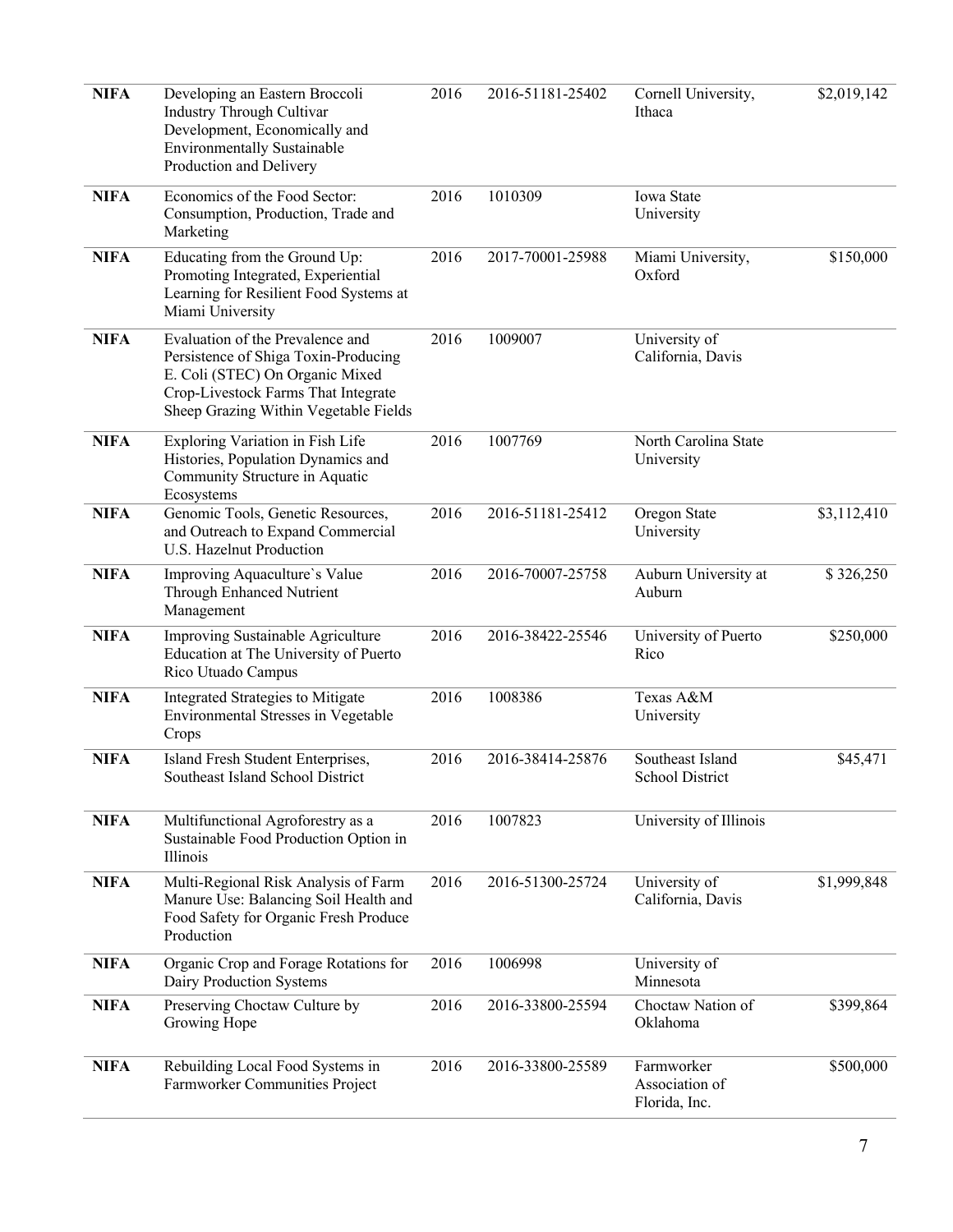| <b>NIFA</b> | Developing an Eastern Broccoli<br>Industry Through Cultivar<br>Development, Economically and<br><b>Environmentally Sustainable</b><br>Production and Delivery                               | 2016<br>2016-51181-25402<br>Cornell University,<br>Ithaca |                  | \$2,019,142                                   |             |
|-------------|---------------------------------------------------------------------------------------------------------------------------------------------------------------------------------------------|-----------------------------------------------------------|------------------|-----------------------------------------------|-------------|
| <b>NIFA</b> | Economics of the Food Sector:<br>Consumption, Production, Trade and<br>Marketing                                                                                                            | 2016                                                      | 1010309          | Iowa State<br>University                      |             |
| <b>NIFA</b> | Educating from the Ground Up:<br>Promoting Integrated, Experiential<br>Learning for Resilient Food Systems at<br>Miami University                                                           | 2016                                                      | 2017-70001-25988 | \$150,000<br>Miami University,<br>Oxford      |             |
| <b>NIFA</b> | Evaluation of the Prevalence and<br>Persistence of Shiga Toxin-Producing<br>E. Coli (STEC) On Organic Mixed<br>Crop-Livestock Farms That Integrate<br>Sheep Grazing Within Vegetable Fields | 2016                                                      | 1009007          | University of<br>California, Davis            |             |
| <b>NIFA</b> | Exploring Variation in Fish Life<br>Histories, Population Dynamics and<br>Community Structure in Aquatic<br>Ecosystems                                                                      | 2016                                                      | 1007769          | North Carolina State<br>University            |             |
| <b>NIFA</b> | Genomic Tools, Genetic Resources,<br>and Outreach to Expand Commercial<br>U.S. Hazelnut Production                                                                                          | 2016                                                      | 2016-51181-25412 | Oregon State<br>University                    | \$3,112,410 |
| <b>NIFA</b> | Improving Aquaculture's Value<br>Through Enhanced Nutrient<br>Management                                                                                                                    | 2016                                                      | 2016-70007-25758 | Auburn University at<br>Auburn                | \$326,250   |
| <b>NIFA</b> | Improving Sustainable Agriculture<br>Education at The University of Puerto<br>Rico Utuado Campus                                                                                            | 2016                                                      | 2016-38422-25546 | University of Puerto<br>\$250,000<br>Rico     |             |
| <b>NIFA</b> | Integrated Strategies to Mitigate<br>Environmental Stresses in Vegetable<br>Crops                                                                                                           | 2016                                                      | 1008386          | Texas A&M<br>University                       |             |
| <b>NIFA</b> | Island Fresh Student Enterprises,<br>Southeast Island School District                                                                                                                       | 2016                                                      | 2016-38414-25876 | Southeast Island<br>School District           | \$45,471    |
| <b>NIFA</b> | Multifunctional Agroforestry as a<br>Sustainable Food Production Option in<br>Illinois                                                                                                      | 2016                                                      | 1007823          | University of Illinois                        |             |
| <b>NIFA</b> | Multi-Regional Risk Analysis of Farm<br>Manure Use: Balancing Soil Health and<br>Food Safety for Organic Fresh Produce<br>Production                                                        | 2016                                                      | 2016-51300-25724 | University of<br>California, Davis            | \$1,999,848 |
| <b>NIFA</b> | Organic Crop and Forage Rotations for<br>Dairy Production Systems                                                                                                                           | 2016                                                      | 1006998          | University of<br>Minnesota                    |             |
| <b>NIFA</b> | Preserving Choctaw Culture by<br>Growing Hope                                                                                                                                               | 2016                                                      | 2016-33800-25594 | Choctaw Nation of<br>Oklahoma                 | \$399,864   |
| <b>NIFA</b> | Rebuilding Local Food Systems in<br>Farmworker Communities Project                                                                                                                          | 2016                                                      | 2016-33800-25589 | Farmworker<br>Association of<br>Florida, Inc. | \$500,000   |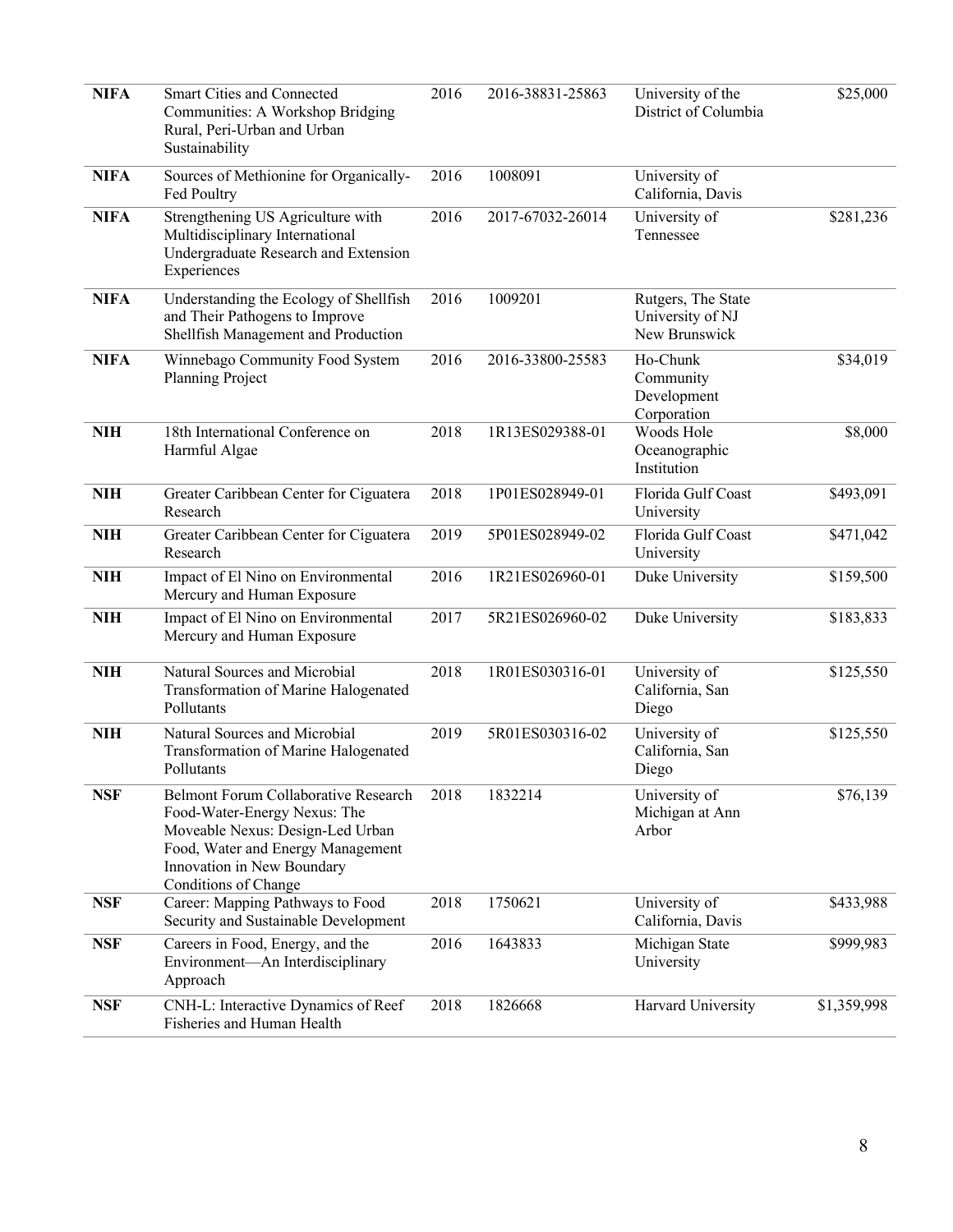| <b>NIFA</b> | Smart Cities and Connected<br>Communities: A Workshop Bridging<br>Rural, Peri-Urban and Urban<br>Sustainability                                                                                     | 2016                                            | 2016-38831-25863                                                   | University of the<br>District of Columbia                       | \$25,000    |
|-------------|-----------------------------------------------------------------------------------------------------------------------------------------------------------------------------------------------------|-------------------------------------------------|--------------------------------------------------------------------|-----------------------------------------------------------------|-------------|
| <b>NIFA</b> | Sources of Methionine for Organically-<br>Fed Poultry                                                                                                                                               | 1008091<br>2016                                 |                                                                    | University of<br>California, Davis                              |             |
| <b>NIFA</b> | Strengthening US Agriculture with<br>2016<br>Multidisciplinary International<br>Undergraduate Research and Extension<br>Experiences                                                                 |                                                 | 2017-67032-26014                                                   | University of<br>Tennessee                                      | \$281,236   |
| <b>NIFA</b> | Understanding the Ecology of Shellfish<br>and Their Pathogens to Improve<br>Shellfish Management and Production                                                                                     | 2016                                            | 1009201<br>Rutgers, The State<br>University of NJ<br>New Brunswick |                                                                 |             |
| <b>NIFA</b> | Winnebago Community Food System<br>Planning Project                                                                                                                                                 | 2016                                            | 2016-33800-25583                                                   | Ho-Chunk<br>\$34,019<br>Community<br>Development<br>Corporation |             |
| <b>NIH</b>  | 18th International Conference on<br>Harmful Algae                                                                                                                                                   | 2018                                            | 1R13ES029388-01                                                    | Woods Hole<br>Oceanographic<br>Institution                      | \$8,000     |
| <b>NIH</b>  | Greater Caribbean Center for Ciguatera<br>Research                                                                                                                                                  | 2018                                            | 1P01ES028949-01                                                    | Florida Gulf Coast<br>University                                | \$493,091   |
| <b>NIH</b>  | Greater Caribbean Center for Ciguatera<br>Research                                                                                                                                                  | 2019                                            | 5P01ES028949-02                                                    | Florida Gulf Coast<br>University                                | \$471,042   |
| <b>NIH</b>  | Impact of El Nino on Environmental<br>Mercury and Human Exposure                                                                                                                                    | 2016                                            | 1R21ES026960-01                                                    | Duke University                                                 | \$159,500   |
| <b>NIH</b>  | Impact of El Nino on Environmental<br>Mercury and Human Exposure                                                                                                                                    | 2017                                            | 5R21ES026960-02                                                    | Duke University                                                 | \$183,833   |
| <b>NIH</b>  | Natural Sources and Microbial<br>Transformation of Marine Halogenated<br>Pollutants                                                                                                                 | 2018                                            | 1R01ES030316-01                                                    | University of<br>California, San<br>Diego                       | \$125,550   |
| <b>NIH</b>  | Natural Sources and Microbial<br>Transformation of Marine Halogenated<br>Pollutants                                                                                                                 | 2019                                            | 5R01ES030316-02                                                    | University of<br>California, San<br>Diego                       | \$125,550   |
| <b>NSF</b>  | Belmont Forum Collaborative Research<br>Food-Water-Energy Nexus: The<br>Moveable Nexus: Design-Led Urban<br>Food, Water and Energy Management<br>Innovation in New Boundary<br>Conditions of Change | 2018                                            | 1832214                                                            | University of<br>Michigan at Ann<br>Arbor                       | \$76,139    |
| <b>NSF</b>  | Career: Mapping Pathways to Food<br>Security and Sustainable Development                                                                                                                            | 2018                                            | 1750621                                                            | University of<br>California, Davis                              | \$433,988   |
| <b>NSF</b>  | Careers in Food, Energy, and the<br>Environment-An Interdisciplinary<br>Approach                                                                                                                    | 2016<br>1643833<br>Michigan State<br>University |                                                                    | \$999,983                                                       |             |
| <b>NSF</b>  | CNH-L: Interactive Dynamics of Reef<br>Fisheries and Human Health                                                                                                                                   | 2018                                            | 1826668                                                            | Harvard University                                              | \$1,359,998 |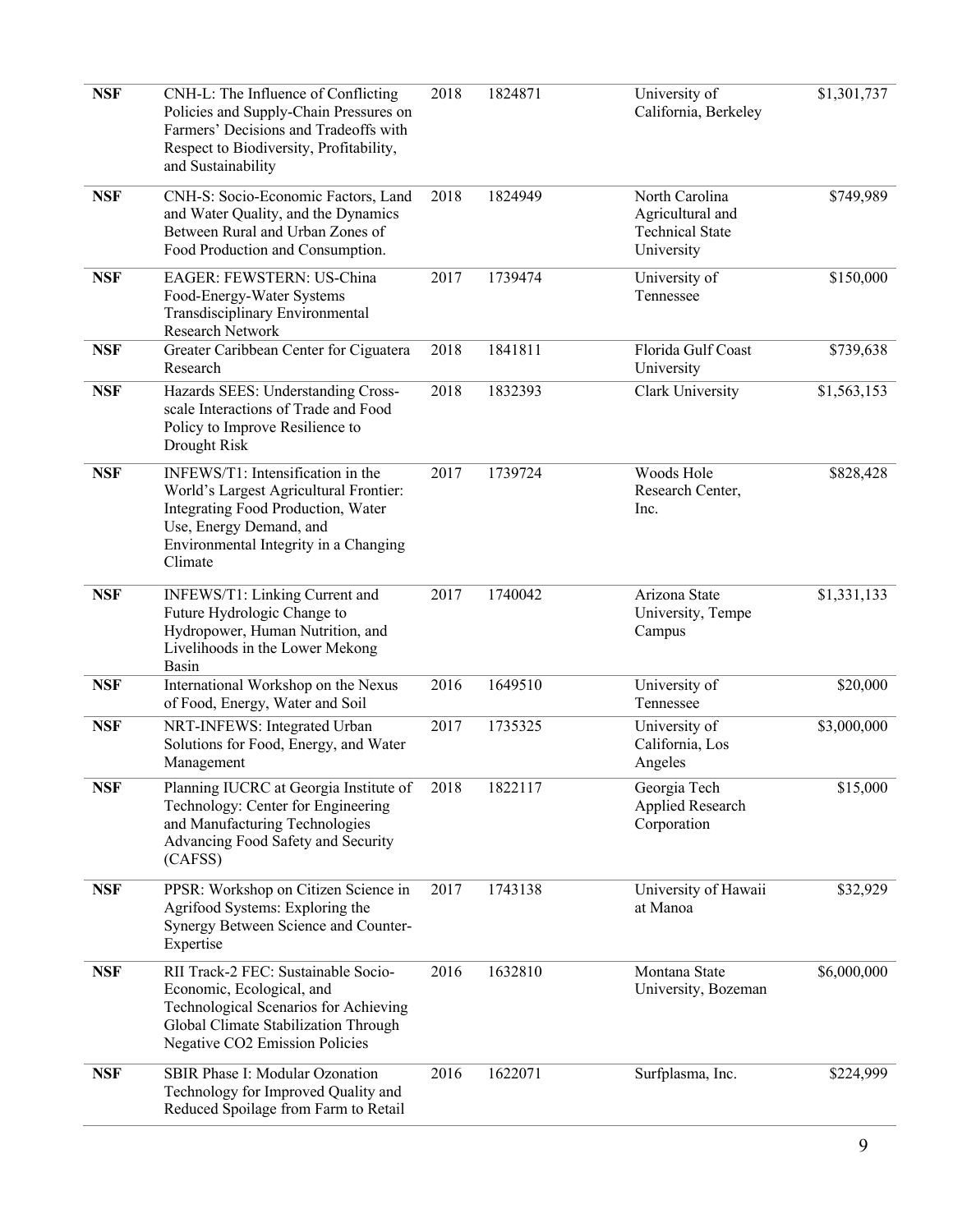| <b>NSF</b> | CNH-L: The Influence of Conflicting<br>Policies and Supply-Chain Pressures on<br>Farmers' Decisions and Tradeoffs with<br>Respect to Biodiversity, Profitability,<br>and Sustainability          | 2018 | 1824871 | University of<br>California, Berkeley                                      | \$1,301,737 |
|------------|--------------------------------------------------------------------------------------------------------------------------------------------------------------------------------------------------|------|---------|----------------------------------------------------------------------------|-------------|
| <b>NSF</b> | CNH-S: Socio-Economic Factors, Land<br>and Water Quality, and the Dynamics<br>Between Rural and Urban Zones of<br>Food Production and Consumption.                                               | 2018 | 1824949 | North Carolina<br>Agricultural and<br><b>Technical State</b><br>University | \$749,989   |
| <b>NSF</b> | EAGER: FEWSTERN: US-China<br>Food-Energy-Water Systems<br>Transdisciplinary Environmental<br>Research Network                                                                                    |      | 1739474 | University of<br>Tennessee                                                 | \$150,000   |
| <b>NSF</b> | Greater Caribbean Center for Ciguatera<br>Research                                                                                                                                               | 2018 | 1841811 | Florida Gulf Coast<br>University                                           | \$739,638   |
| <b>NSF</b> | Hazards SEES: Understanding Cross-<br>scale Interactions of Trade and Food<br>Policy to Improve Resilience to<br>Drought Risk                                                                    |      | 1832393 | Clark University                                                           | \$1,563,153 |
| <b>NSF</b> | INFEWS/T1: Intensification in the<br>World's Largest Agricultural Frontier:<br>Integrating Food Production, Water<br>Use, Energy Demand, and<br>Environmental Integrity in a Changing<br>Climate | 2017 | 1739724 | Woods Hole<br>Research Center,<br>Inc.                                     | \$828,428   |
| <b>NSF</b> | INFEWS/T1: Linking Current and<br>Future Hydrologic Change to<br>Hydropower, Human Nutrition, and<br>Livelihoods in the Lower Mekong<br>Basin                                                    | 2017 | 1740042 | Arizona State<br>University, Tempe<br>Campus                               | \$1,331,133 |
| <b>NSF</b> | International Workshop on the Nexus<br>of Food, Energy, Water and Soil                                                                                                                           | 2016 | 1649510 | University of<br>Tennessee                                                 | \$20,000    |
| <b>NSF</b> | NRT-INFEWS: Integrated Urban<br>Solutions for Food, Energy, and Water<br>Management                                                                                                              | 2017 | 1735325 | University of<br>California, Los<br>Angeles                                | \$3,000,000 |
| <b>NSF</b> | Planning IUCRC at Georgia Institute of<br>Technology: Center for Engineering<br>and Manufacturing Technologies<br>Advancing Food Safety and Security<br>(CAFSS)                                  | 2018 | 1822117 | Georgia Tech<br>Applied Research<br>Corporation                            | \$15,000    |
| <b>NSF</b> | PPSR: Workshop on Citizen Science in<br>Agrifood Systems: Exploring the<br>Synergy Between Science and Counter-<br>Expertise                                                                     | 2017 | 1743138 | University of Hawaii<br>at Manoa                                           | \$32,929    |
| <b>NSF</b> | RII Track-2 FEC: Sustainable Socio-<br>Economic, Ecological, and<br>Technological Scenarios for Achieving<br>Global Climate Stabilization Through<br>Negative CO2 Emission Policies              | 2016 | 1632810 | Montana State<br>University, Bozeman                                       | \$6,000,000 |
| <b>NSF</b> | SBIR Phase I: Modular Ozonation<br>Technology for Improved Quality and<br>Reduced Spoilage from Farm to Retail                                                                                   | 2016 | 1622071 | Surfplasma, Inc.                                                           | \$224,999   |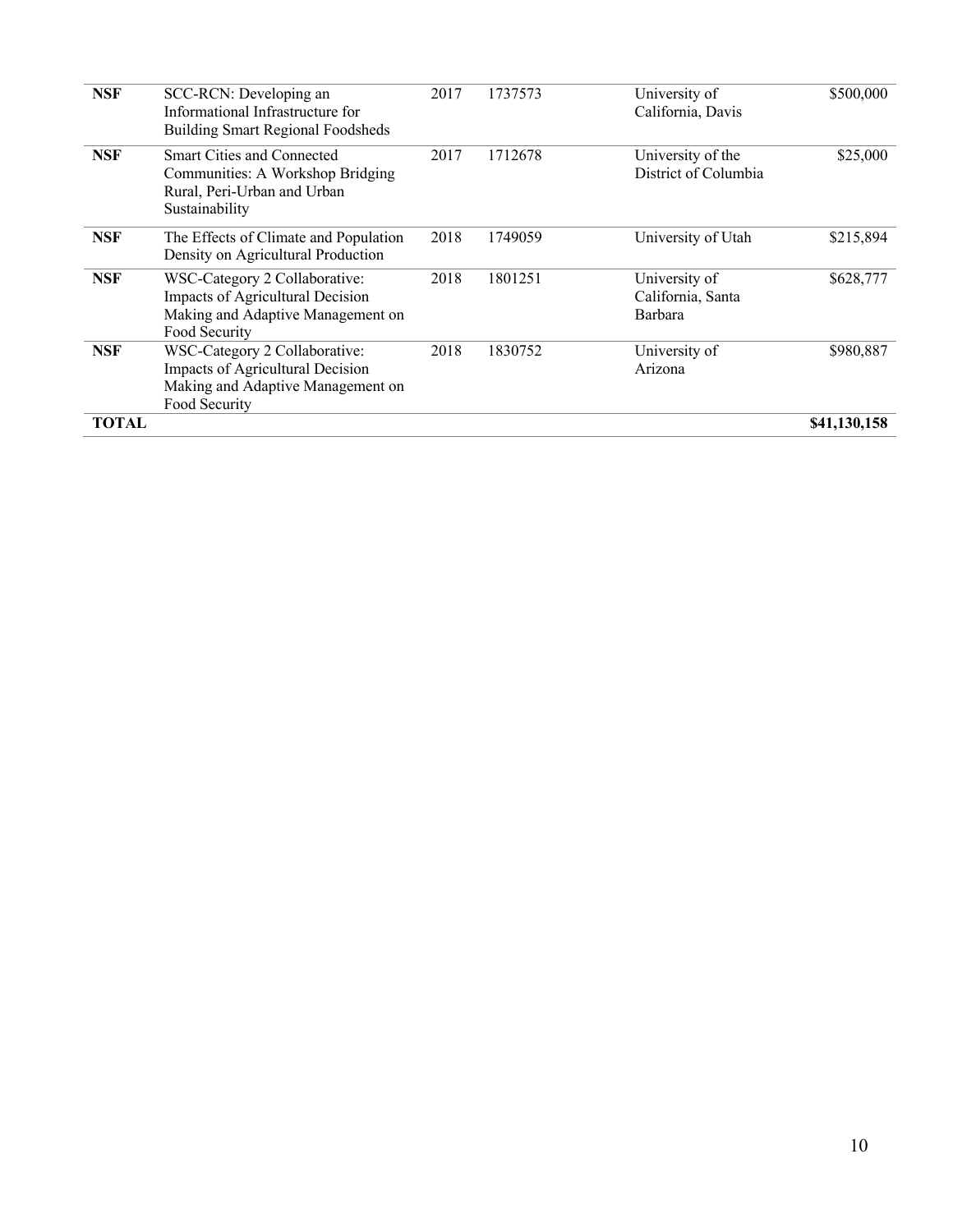| <b>NSF</b>   | SCC-RCN: Developing an<br>Informational Infrastructure for<br><b>Building Smart Regional Foodsheds</b>                  | 2017 | 1737573 | University of<br>California, Davis            | \$500,000    |
|--------------|-------------------------------------------------------------------------------------------------------------------------|------|---------|-----------------------------------------------|--------------|
| <b>NSF</b>   | <b>Smart Cities and Connected</b><br>Communities: A Workshop Bridging<br>Rural, Peri-Urban and Urban<br>Sustainability  | 2017 | 1712678 | University of the<br>District of Columbia     | \$25,000     |
| <b>NSF</b>   | The Effects of Climate and Population<br>Density on Agricultural Production                                             | 2018 | 1749059 | University of Utah                            | \$215,894    |
| <b>NSF</b>   | WSC-Category 2 Collaborative:<br>Impacts of Agricultural Decision<br>Making and Adaptive Management on<br>Food Security | 2018 | 1801251 | University of<br>California, Santa<br>Barbara | \$628,777    |
| <b>NSF</b>   | WSC-Category 2 Collaborative:<br>Impacts of Agricultural Decision<br>Making and Adaptive Management on<br>Food Security | 2018 | 1830752 | University of<br>Arizona                      | \$980,887    |
| <b>TOTAL</b> |                                                                                                                         |      |         |                                               | \$41,130,158 |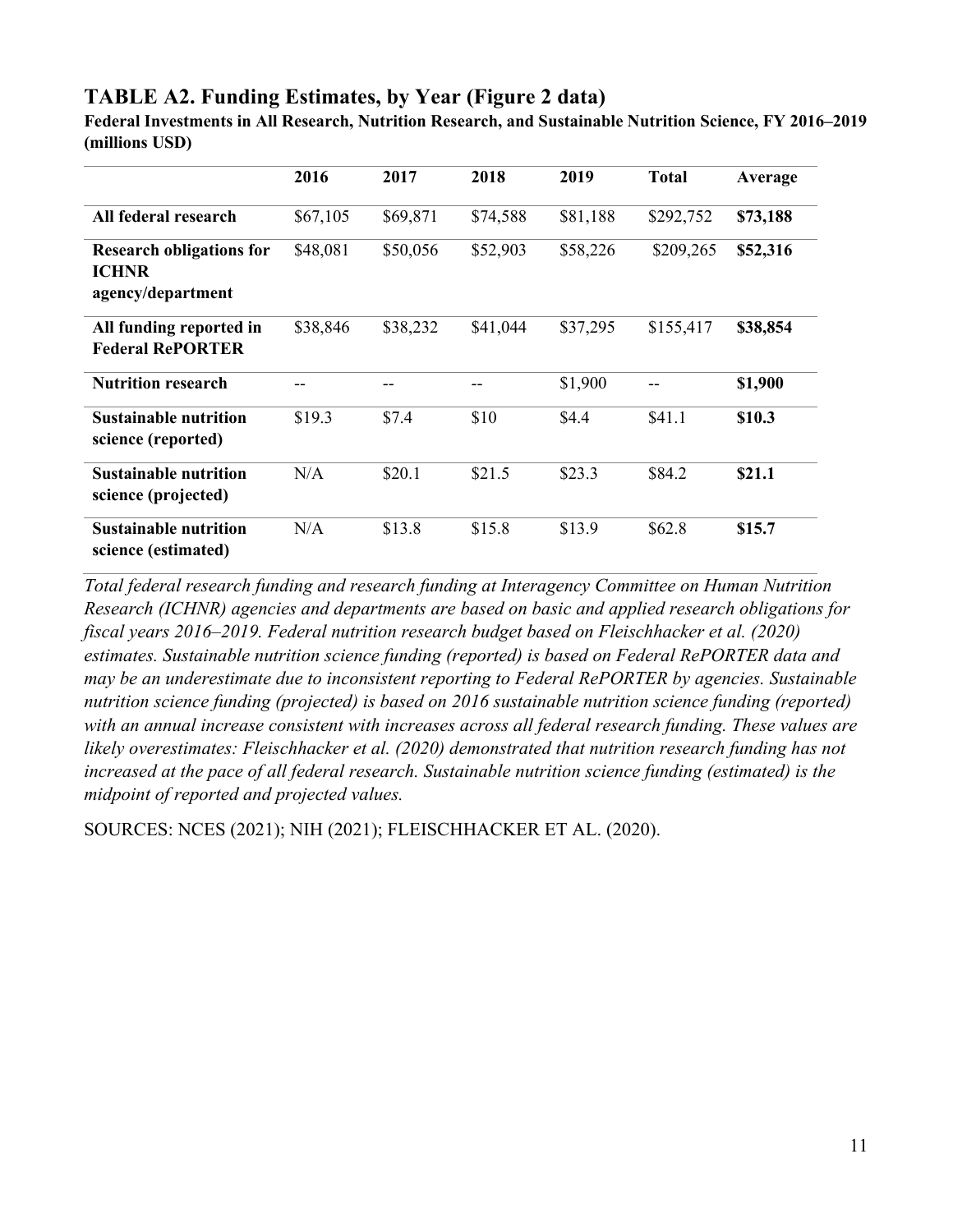#### **TABLE A2. Funding Estimates, by Year (Figure 2 data)**

**Federal Investments in All Research, Nutrition Research, and Sustainable Nutrition Science, FY 2016–2019 (millions USD)**

|                                                                      | 2016     | 2017     | 2018     | 2019     | <b>Total</b> | Average  |
|----------------------------------------------------------------------|----------|----------|----------|----------|--------------|----------|
| All federal research                                                 | \$67,105 | \$69,871 | \$74,588 | \$81,188 | \$292,752    | \$73,188 |
| <b>Research obligations for</b><br><b>ICHNR</b><br>agency/department | \$48,081 | \$50,056 | \$52,903 | \$58,226 | \$209,265    | \$52,316 |
| All funding reported in<br><b>Federal RePORTER</b>                   | \$38,846 | \$38,232 | \$41,044 | \$37,295 | \$155,417    | \$38,854 |
| <b>Nutrition research</b>                                            |          |          |          | \$1,900  |              | \$1,900  |
| <b>Sustainable nutrition</b><br>science (reported)                   | \$19.3   | \$7.4    | \$10     | \$4.4    | \$41.1       | \$10.3   |
| <b>Sustainable nutrition</b><br>science (projected)                  | N/A      | \$20.1   | \$21.5   | \$23.3   | \$84.2       | \$21.1   |
| <b>Sustainable nutrition</b><br>science (estimated)                  | N/A      | \$13.8   | \$15.8   | \$13.9   | \$62.8       | \$15.7   |

*Total federal research funding and research funding at Interagency Committee on Human Nutrition Research (ICHNR) agencies and departments are based on basic and applied research obligations for fiscal years 2016–2019. Federal nutrition research budget based on Fleischhacker et al. (2020) estimates. Sustainable nutrition science funding (reported) is based on Federal RePORTER data and may be an underestimate due to inconsistent reporting to Federal RePORTER by agencies. Sustainable nutrition science funding (projected) is based on 2016 sustainable nutrition science funding (reported) with an annual increase consistent with increases across all federal research funding. These values are likely overestimates: Fleischhacker et al. (2020) demonstrated that nutrition research funding has not increased at the pace of all federal research. Sustainable nutrition science funding (estimated) is the midpoint of reported and projected values.* 

SOURCES: NCES (2021); NIH (2021); FLEISCHHACKER ET AL. (2020).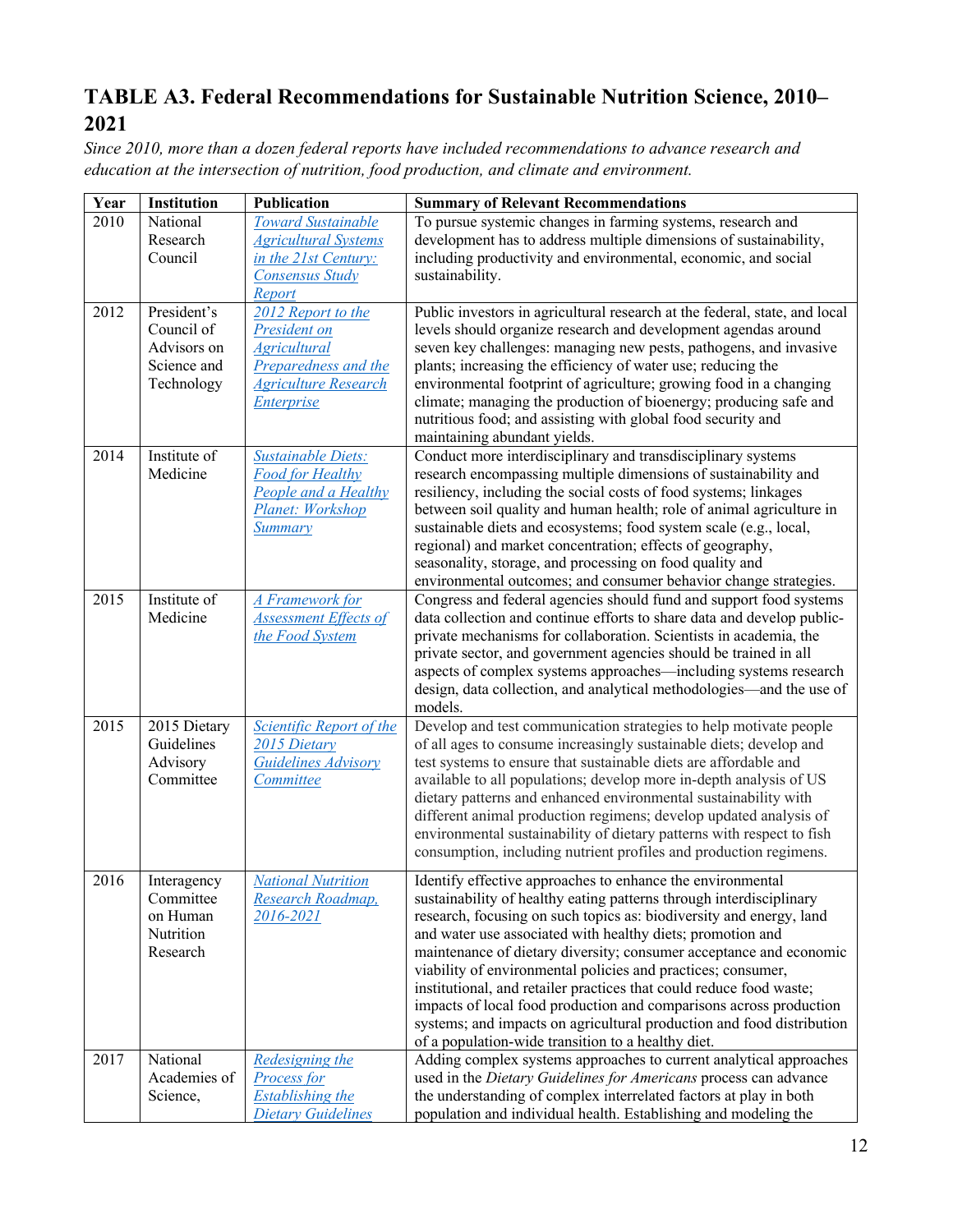# **TABLE A3. Federal Recommendations for Sustainable Nutrition Science, 2010– 2021**

*Since 2010, more than a dozen federal reports have included recommendations to advance research and education at the intersection of nutrition, food production, and climate and environment.*

| Year | Institution                                                           | <b>Publication</b>                                                                                                             | <b>Summary of Relevant Recommendations</b>                                                                                                                                                                                                                                                                                                                                                                                                                                                                                                                                                                                                                                               |
|------|-----------------------------------------------------------------------|--------------------------------------------------------------------------------------------------------------------------------|------------------------------------------------------------------------------------------------------------------------------------------------------------------------------------------------------------------------------------------------------------------------------------------------------------------------------------------------------------------------------------------------------------------------------------------------------------------------------------------------------------------------------------------------------------------------------------------------------------------------------------------------------------------------------------------|
| 2010 | National<br>Research<br>Council                                       | <b>Toward Sustainable</b><br><b>Agricultural Systems</b><br>in the 21st Century:<br>Consensus Study<br>Report                  | To pursue systemic changes in farming systems, research and<br>development has to address multiple dimensions of sustainability,<br>including productivity and environmental, economic, and social<br>sustainability.                                                                                                                                                                                                                                                                                                                                                                                                                                                                    |
| 2012 | President's<br>Council of<br>Advisors on<br>Science and<br>Technology | 2012 Report to the<br>President on<br><b>Agricultural</b><br>Preparedness and the<br><b>Agriculture Research</b><br>Enterprise | Public investors in agricultural research at the federal, state, and local<br>levels should organize research and development agendas around<br>seven key challenges: managing new pests, pathogens, and invasive<br>plants; increasing the efficiency of water use; reducing the<br>environmental footprint of agriculture; growing food in a changing<br>climate; managing the production of bioenergy; producing safe and<br>nutritious food; and assisting with global food security and<br>maintaining abundant yields.                                                                                                                                                             |
| 2014 | Institute of<br>Medicine                                              | <b>Sustainable Diets:</b><br><b>Food for Healthy</b><br>People and a Healthy<br>Planet: Workshop<br>Summary                    | Conduct more interdisciplinary and transdisciplinary systems<br>research encompassing multiple dimensions of sustainability and<br>resiliency, including the social costs of food systems; linkages<br>between soil quality and human health; role of animal agriculture in<br>sustainable diets and ecosystems; food system scale (e.g., local,<br>regional) and market concentration; effects of geography,<br>seasonality, storage, and processing on food quality and<br>environmental outcomes; and consumer behavior change strategies.                                                                                                                                            |
| 2015 | Institute of<br>Medicine                                              | A Framework for<br><b>Assessment Effects of</b><br>the Food System                                                             | Congress and federal agencies should fund and support food systems<br>data collection and continue efforts to share data and develop public-<br>private mechanisms for collaboration. Scientists in academia, the<br>private sector, and government agencies should be trained in all<br>aspects of complex systems approaches—including systems research<br>design, data collection, and analytical methodologies—and the use of<br>models.                                                                                                                                                                                                                                             |
| 2015 | 2015 Dietary<br>Guidelines<br>Advisory<br>Committee                   | Scientific Report of the<br>2015 Dietary<br>Guidelines Advisory<br>Committee                                                   | Develop and test communication strategies to help motivate people<br>of all ages to consume increasingly sustainable diets; develop and<br>test systems to ensure that sustainable diets are affordable and<br>available to all populations; develop more in-depth analysis of US<br>dietary patterns and enhanced environmental sustainability with<br>different animal production regimens; develop updated analysis of<br>environmental sustainability of dietary patterns with respect to fish<br>consumption, including nutrient profiles and production regimens.                                                                                                                  |
| 2016 | Interagency<br>Committee<br>on Human<br>Nutrition<br>Research         | <b>National Nutrition</b><br>Research Roadmap,<br>2016-2021                                                                    | Identify effective approaches to enhance the environmental<br>sustainability of healthy eating patterns through interdisciplinary<br>research, focusing on such topics as: biodiversity and energy, land<br>and water use associated with healthy diets; promotion and<br>maintenance of dietary diversity; consumer acceptance and economic<br>viability of environmental policies and practices; consumer,<br>institutional, and retailer practices that could reduce food waste;<br>impacts of local food production and comparisons across production<br>systems; and impacts on agricultural production and food distribution<br>of a population-wide transition to a healthy diet. |
| 2017 | National<br>Academies of<br>Science,                                  | <b>Redesigning the</b><br>Process for<br><b>Establishing the</b><br><b>Dietary Guidelines</b>                                  | Adding complex systems approaches to current analytical approaches<br>used in the Dietary Guidelines for Americans process can advance<br>the understanding of complex interrelated factors at play in both<br>population and individual health. Establishing and modeling the                                                                                                                                                                                                                                                                                                                                                                                                           |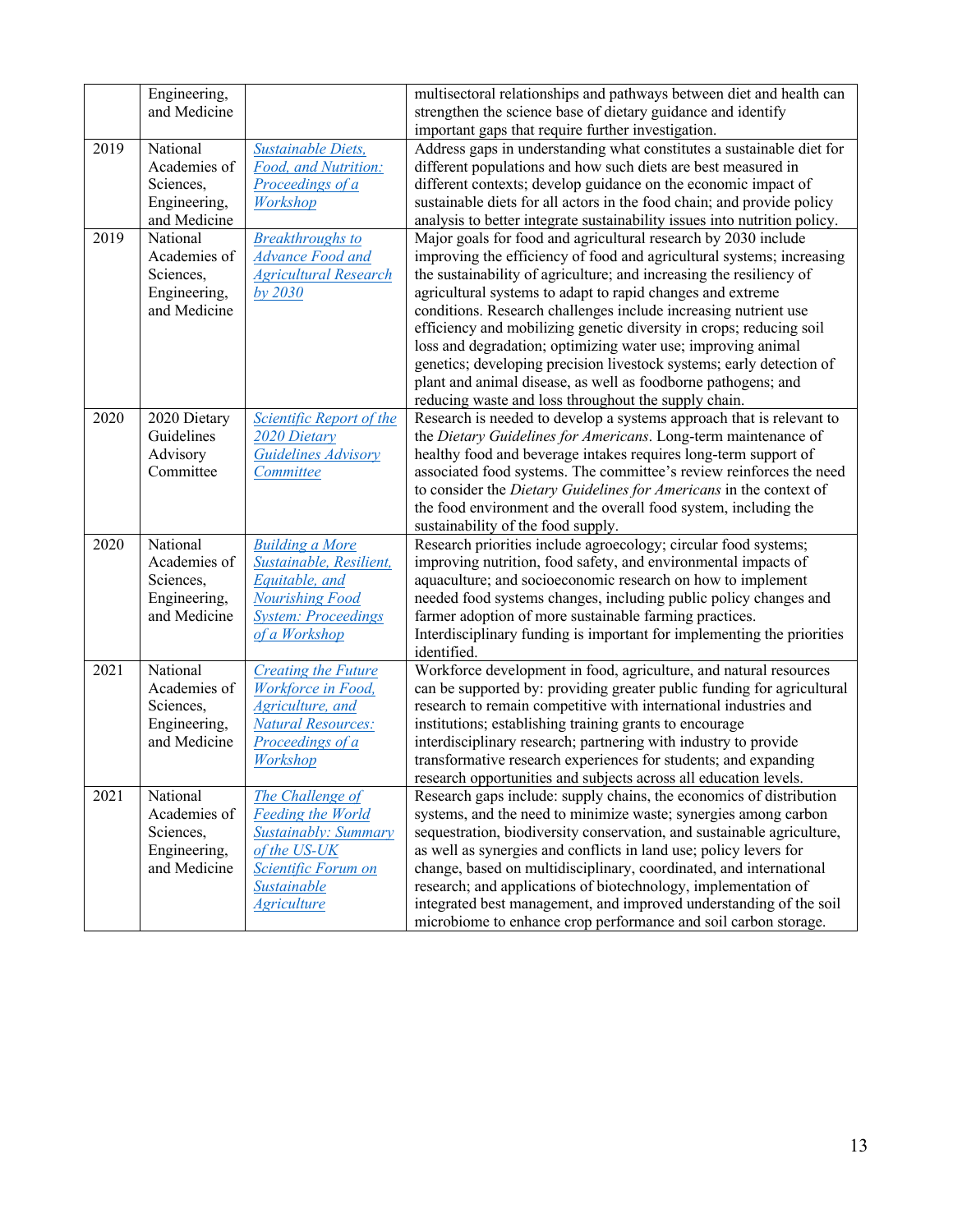|      | Engineering,              |                                          | multisectoral relationships and pathways between diet and health can                                                            |
|------|---------------------------|------------------------------------------|---------------------------------------------------------------------------------------------------------------------------------|
|      | and Medicine              |                                          | strengthen the science base of dietary guidance and identify                                                                    |
|      |                           |                                          | important gaps that require further investigation.                                                                              |
| 2019 | National                  | <b>Sustainable Diets,</b>                | Address gaps in understanding what constitutes a sustainable diet for                                                           |
|      | Academies of              | Food, and Nutrition:                     | different populations and how such diets are best measured in                                                                   |
|      | Sciences,                 | Proceedings of a                         | different contexts; develop guidance on the economic impact of                                                                  |
|      | Engineering,              | Workshop                                 | sustainable diets for all actors in the food chain; and provide policy                                                          |
|      | and Medicine              |                                          | analysis to better integrate sustainability issues into nutrition policy.                                                       |
| 2019 | National                  | <b>Breakthroughs to</b>                  | Major goals for food and agricultural research by 2030 include                                                                  |
|      | Academies of              | <b>Advance Food and</b>                  | improving the efficiency of food and agricultural systems; increasing                                                           |
|      | Sciences,                 | <b>Agricultural Research</b>             | the sustainability of agriculture; and increasing the resiliency of                                                             |
|      | Engineering,              | by 2030                                  | agricultural systems to adapt to rapid changes and extreme                                                                      |
|      | and Medicine              |                                          | conditions. Research challenges include increasing nutrient use                                                                 |
|      |                           |                                          | efficiency and mobilizing genetic diversity in crops; reducing soil                                                             |
|      |                           |                                          | loss and degradation; optimizing water use; improving animal                                                                    |
|      |                           |                                          | genetics; developing precision livestock systems; early detection of                                                            |
|      |                           |                                          | plant and animal disease, as well as foodborne pathogens; and                                                                   |
|      |                           |                                          | reducing waste and loss throughout the supply chain.                                                                            |
| 2020 | 2020 Dietary              | Scientific Report of the                 | Research is needed to develop a systems approach that is relevant to                                                            |
|      | Guidelines                | 2020 Dietary                             | the Dietary Guidelines for Americans. Long-term maintenance of                                                                  |
|      | Advisory                  | Guidelines Advisory                      | healthy food and beverage intakes requires long-term support of                                                                 |
|      | Committee                 | Committee                                | associated food systems. The committee's review reinforces the need                                                             |
|      |                           |                                          | to consider the Dietary Guidelines for Americans in the context of                                                              |
|      |                           |                                          | the food environment and the overall food system, including the                                                                 |
|      |                           |                                          | sustainability of the food supply.                                                                                              |
| 2020 | National                  | <b>Building a More</b>                   | Research priorities include agroecology; circular food systems;                                                                 |
|      | Academies of              | Sustainable, Resilient,                  | improving nutrition, food safety, and environmental impacts of                                                                  |
|      | Sciences,<br>Engineering, | Equitable, and<br><b>Nourishing Food</b> | aquaculture; and socioeconomic research on how to implement<br>needed food systems changes, including public policy changes and |
|      | and Medicine              | <b>System: Proceedings</b>               | farmer adoption of more sustainable farming practices.                                                                          |
|      |                           | of a Workshop                            | Interdisciplinary funding is important for implementing the priorities                                                          |
|      |                           |                                          | identified.                                                                                                                     |
| 2021 | National                  | <b>Creating the Future</b>               | Workforce development in food, agriculture, and natural resources                                                               |
|      | Academies of              | Workforce in Food,                       | can be supported by: providing greater public funding for agricultural                                                          |
|      | Sciences,                 | <b>Agriculture</b> , and                 | research to remain competitive with international industries and                                                                |
|      | Engineering,              | <b>Natural Resources:</b>                | institutions; establishing training grants to encourage                                                                         |
|      | and Medicine              | Proceedings of a                         | interdisciplinary research; partnering with industry to provide                                                                 |
|      |                           | Workshop                                 | transformative research experiences for students; and expanding                                                                 |
|      |                           |                                          | research opportunities and subjects across all education levels.                                                                |
| 2021 | National                  | The Challenge of                         | Research gaps include: supply chains, the economics of distribution                                                             |
|      | Academies of              | <b>Feeding the World</b>                 | systems, and the need to minimize waste; synergies among carbon                                                                 |
|      | Sciences,                 | <b>Sustainably: Summary</b>              | sequestration, biodiversity conservation, and sustainable agriculture,                                                          |
|      | Engineering,              | of the US-UK                             | as well as synergies and conflicts in land use; policy levers for                                                               |
|      | and Medicine              | Scientific Forum on                      | change, based on multidisciplinary, coordinated, and international                                                              |
|      |                           | Sustainable                              | research; and applications of biotechnology, implementation of                                                                  |
|      |                           | <b>Agriculture</b>                       | integrated best management, and improved understanding of the soil                                                              |
|      |                           |                                          | microbiome to enhance crop performance and soil carbon storage.                                                                 |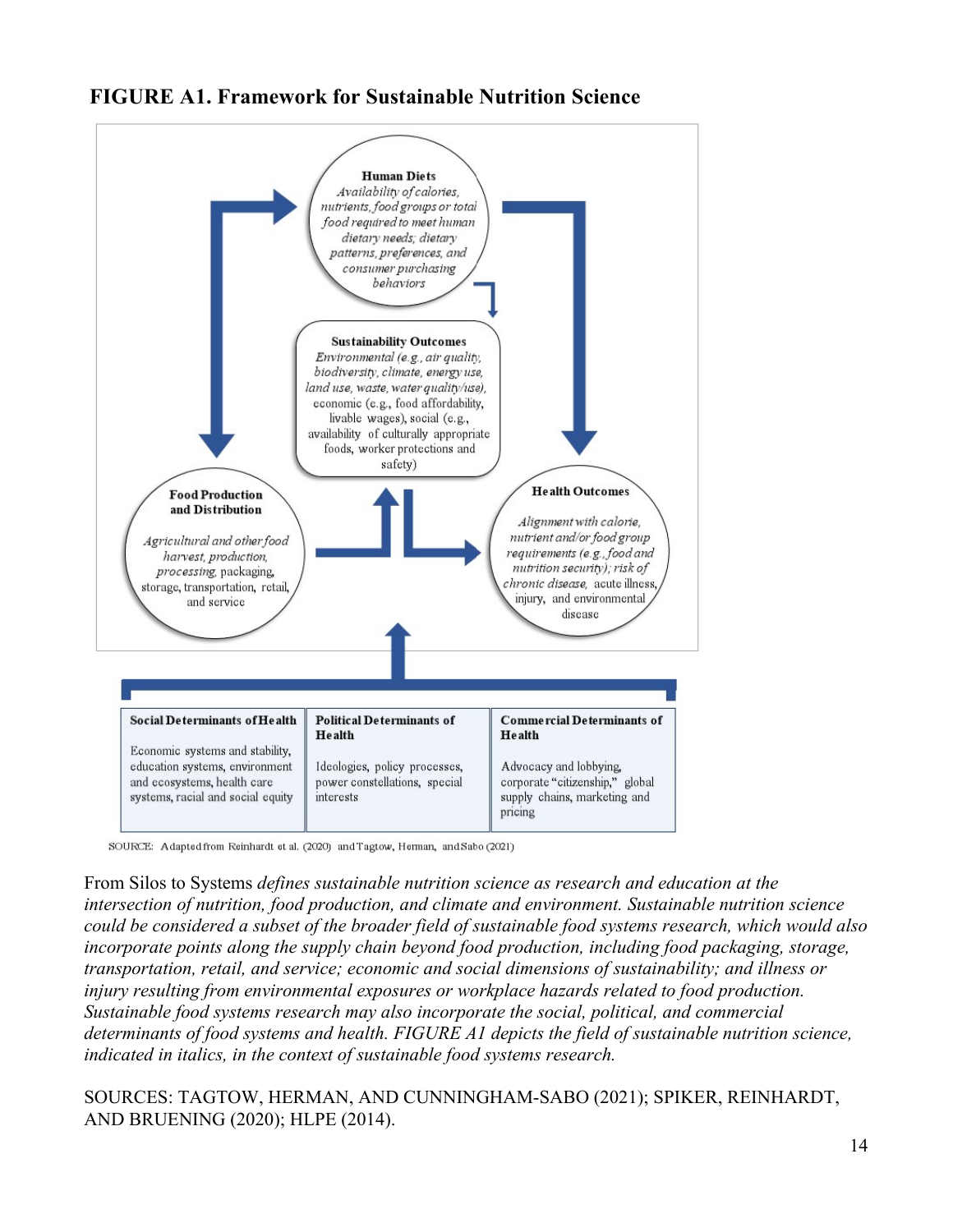## **FIGURE A1. Framework for Sustainable Nutrition Science**



SOURCE: Adapted from Reinhardt et al. (2020) and Tagtow, Herman, and Sabo (2021)

From Silos to Systems *defines sustainable nutrition science as research and education at the intersection of nutrition, food production, and climate and environment. Sustainable nutrition science could be considered a subset of the broader field of sustainable food systems research, which would also incorporate points along the supply chain beyond food production, including food packaging, storage, transportation, retail, and service; economic and social dimensions of sustainability; and illness or injury resulting from environmental exposures or workplace hazards related to food production. Sustainable food systems research may also incorporate the social, political, and commercial determinants of food systems and health. FIGURE A1 depicts the field of sustainable nutrition science, indicated in italics, in the context of sustainable food systems research.*

SOURCES: TAGTOW, HERMAN, AND CUNNINGHAM-SABO (2021); SPIKER, REINHARDT, AND BRUENING (2020); HLPE (2014).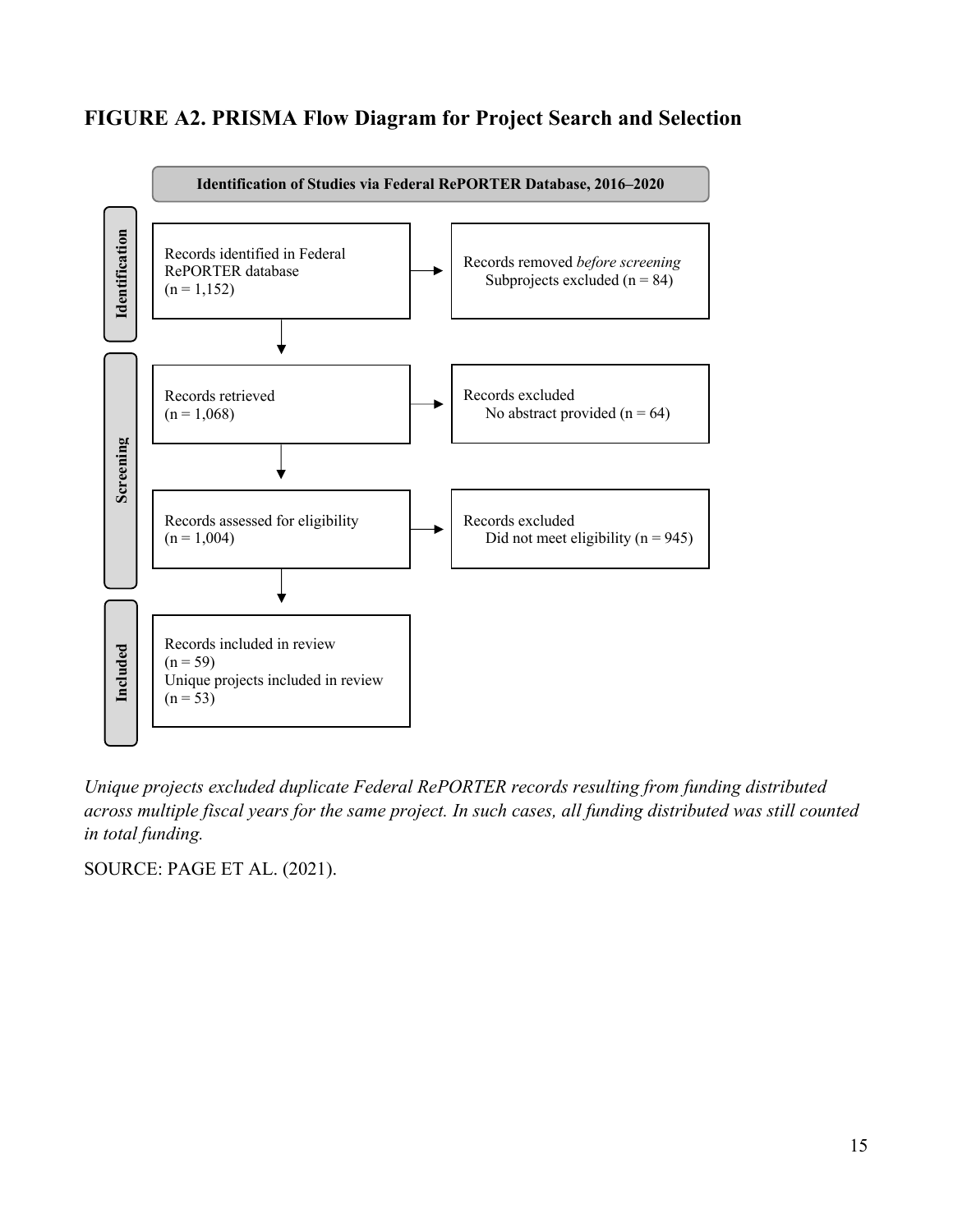# **FIGURE A2. PRISMA Flow Diagram for Project Search and Selection**



*Unique projects excluded duplicate Federal RePORTER records resulting from funding distributed across multiple fiscal years for the same project. In such cases, all funding distributed was still counted in total funding.*

SOURCE: PAGE ET AL. (2021).